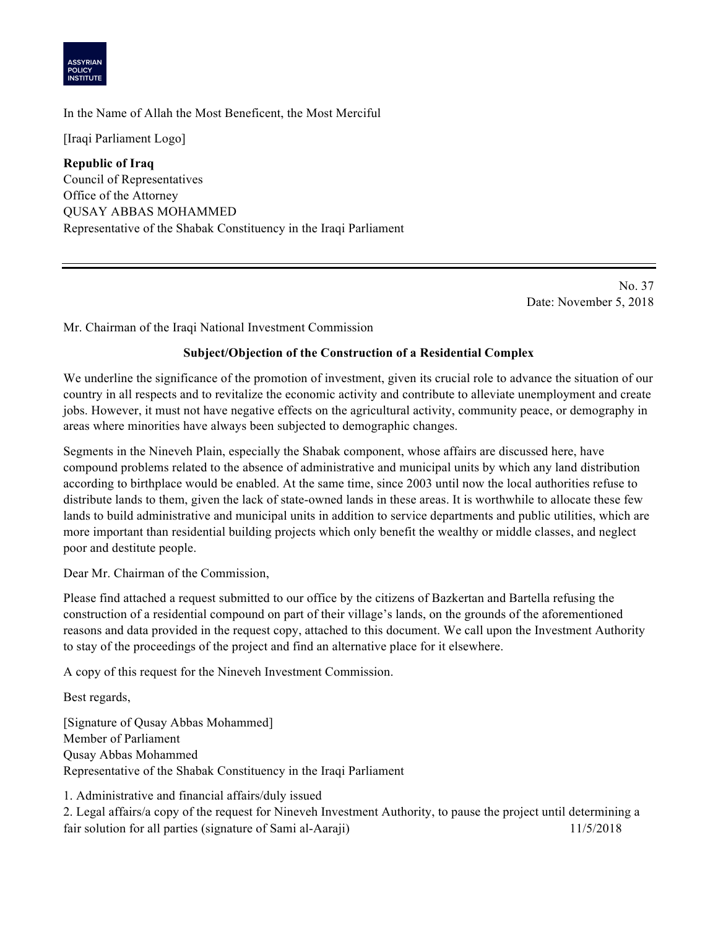

## In the Name of Allah the Most Beneficent, the Most Merciful

[Iraqi Parliament Logo]

**Republic of Iraq** Council of Representatives Office of the Attorney QUSAY ABBAS MOHAMMED Representative of the Shabak Constituency in the Iraqi Parliament

> No. 37 Date: November 5, 2018

Mr. Chairman of the Iraqi National Investment Commission

## **Subject/Objection of the Construction of a Residential Complex**

We underline the significance of the promotion of investment, given its crucial role to advance the situation of our country in all respects and to revitalize the economic activity and contribute to alleviate unemployment and create jobs. However, it must not have negative effects on the agricultural activity, community peace, or demography in areas where minorities have always been subjected to demographic changes.

Segments in the Nineveh Plain, especially the Shabak component, whose affairs are discussed here, have compound problems related to the absence of administrative and municipal units by which any land distribution according to birthplace would be enabled. At the same time, since 2003 until now the local authorities refuse to distribute lands to them, given the lack of state-owned lands in these areas. It is worthwhile to allocate these few lands to build administrative and municipal units in addition to service departments and public utilities, which are more important than residential building projects which only benefit the wealthy or middle classes, and neglect poor and destitute people.

Dear Mr. Chairman of the Commission,

Please find attached a request submitted to our office by the citizens of Bazkertan and Bartella refusing the construction of a residential compound on part of their village's lands, on the grounds of the aforementioned reasons and data provided in the request copy, attached to this document. We call upon the Investment Authority to stay of the proceedings of the project and find an alternative place for it elsewhere.

A copy of this request for the Nineveh Investment Commission.

Best regards,

[Signature of Qusay Abbas Mohammed] Member of Parliament Qusay Abbas Mohammed Representative of the Shabak Constituency in the Iraqi Parliament

1. Administrative and financial affairs/duly issued

2. Legal affairs/a copy of the request for Nineveh Investment Authority, to pause the project until determining a fair solution for all parties (signature of Sami al-Aaraji) 11/5/2018